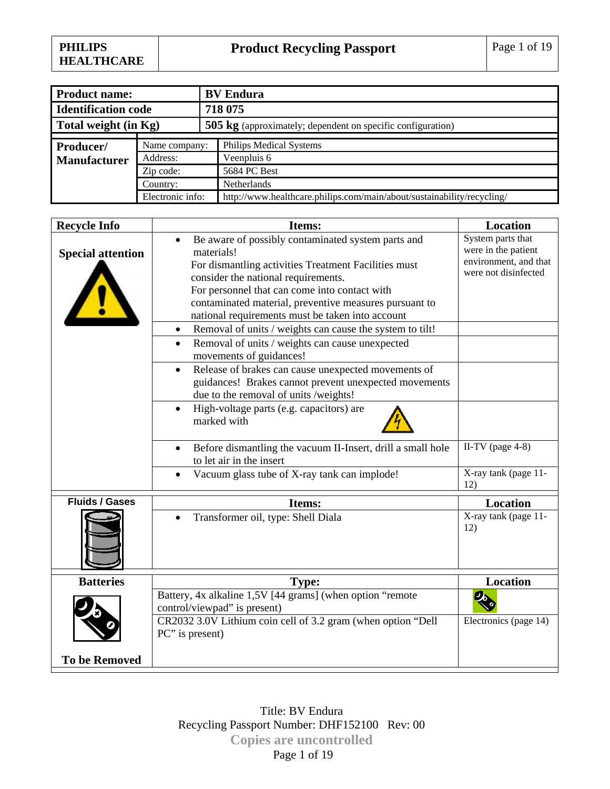| <b>Product name:</b>       |                  | <b>BV</b> Endura                                                       |
|----------------------------|------------------|------------------------------------------------------------------------|
| <b>Identification code</b> |                  | 718 075                                                                |
| Total weight (in Kg)       |                  | <b>505 kg</b> (approximately; dependent on specific configuration)     |
|                            |                  |                                                                        |
| Producer/                  | Name company:    | <b>Philips Medical Systems</b>                                         |
| <b>Manufacturer</b>        | Address:         | Veenpluis 6                                                            |
|                            | Zip code:        | 5684 PC Best                                                           |
|                            | Country:         | Netherlands                                                            |
|                            | Electronic info: | http://www.healthcare.philips.com/main/about/sustainability/recycling/ |

| <b>Recycle Info</b>      | Items:                                                                                                                                                                                                                                                                                                                                      | <b>Location</b>                                                                           |
|--------------------------|---------------------------------------------------------------------------------------------------------------------------------------------------------------------------------------------------------------------------------------------------------------------------------------------------------------------------------------------|-------------------------------------------------------------------------------------------|
| <b>Special attention</b> | Be aware of possibly contaminated system parts and<br>$\bullet$<br>materials!<br>For dismantling activities Treatment Facilities must<br>consider the national requirements.<br>For personnel that can come into contact with<br>contaminated material, preventive measures pursuant to<br>national requirements must be taken into account | System parts that<br>were in the patient<br>environment, and that<br>were not disinfected |
|                          | Removal of units / weights can cause the system to tilt!<br>٠                                                                                                                                                                                                                                                                               |                                                                                           |
|                          | Removal of units / weights can cause unexpected<br>$\bullet$<br>movements of guidances!                                                                                                                                                                                                                                                     |                                                                                           |
|                          | Release of brakes can cause unexpected movements of<br>$\bullet$<br>guidances! Brakes cannot prevent unexpected movements<br>due to the removal of units /weights!                                                                                                                                                                          |                                                                                           |
|                          | High-voltage parts (e.g. capacitors) are<br>$\bullet$<br>marked with                                                                                                                                                                                                                                                                        |                                                                                           |
|                          | Before dismantling the vacuum II-Insert, drill a small hole<br>$\bullet$<br>to let air in the insert                                                                                                                                                                                                                                        | II-TV (page $4-8$ )                                                                       |
|                          | Vacuum glass tube of X-ray tank can implode!                                                                                                                                                                                                                                                                                                | X-ray tank (page 11-<br>12)                                                               |
| <b>Fluids / Gases</b>    | Items:                                                                                                                                                                                                                                                                                                                                      | Location                                                                                  |
|                          | Transformer oil, type: Shell Diala                                                                                                                                                                                                                                                                                                          | X-ray tank (page 11-<br>12)                                                               |
| <b>Batteries</b>         | <b>Type:</b>                                                                                                                                                                                                                                                                                                                                | <b>Location</b>                                                                           |
|                          | Battery, 4x alkaline 1,5V [44 grams] (when option "remote<br>control/viewpad" is present)<br>CR2032 3.0V Lithium coin cell of 3.2 gram (when option "Dell<br>PC" is present)                                                                                                                                                                | $\mathbf{e}$<br>Electronics (page 14)                                                     |
| <b>To be Removed</b>     |                                                                                                                                                                                                                                                                                                                                             |                                                                                           |

Title: BV Endura Recycling Passport Number: DHF152100 Rev: 00 **Copies are uncontrolled**  Page 1 of 19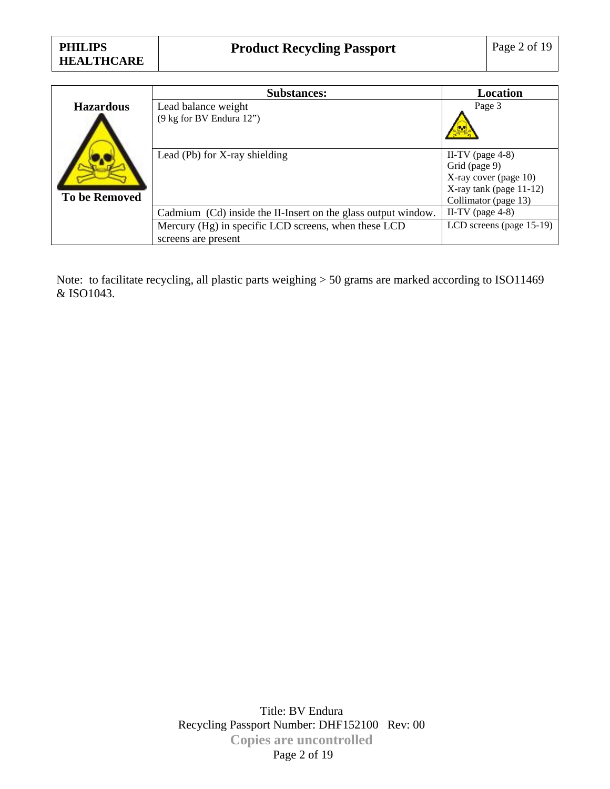|                      | <b>Substances:</b>                                            | Location                                                                                                            |
|----------------------|---------------------------------------------------------------|---------------------------------------------------------------------------------------------------------------------|
| <b>Hazardous</b>     | Lead balance weight                                           | Page 3                                                                                                              |
|                      | (9 kg for BV Endura 12")                                      |                                                                                                                     |
| <b>To be Removed</b> | Lead (Pb) for X-ray shielding                                 | II-TV (page $4-8$ )<br>Grid (page 9)<br>X-ray cover (page 10)<br>$X$ -ray tank (page 11-12)<br>Collimator (page 13) |
|                      | Cadmium (Cd) inside the II-Insert on the glass output window. | II-TV (page $4-8$ )                                                                                                 |
|                      | Mercury (Hg) in specific LCD screens, when these LCD          | LCD screens (page 15-19)                                                                                            |
|                      | screens are present                                           |                                                                                                                     |

Note: to facilitate recycling, all plastic parts weighing > 50 grams are marked according to ISO11469 & ISO1043.

> Title: BV Endura Recycling Passport Number: DHF152100 Rev: 00 **Copies are uncontrolled**  Page 2 of 19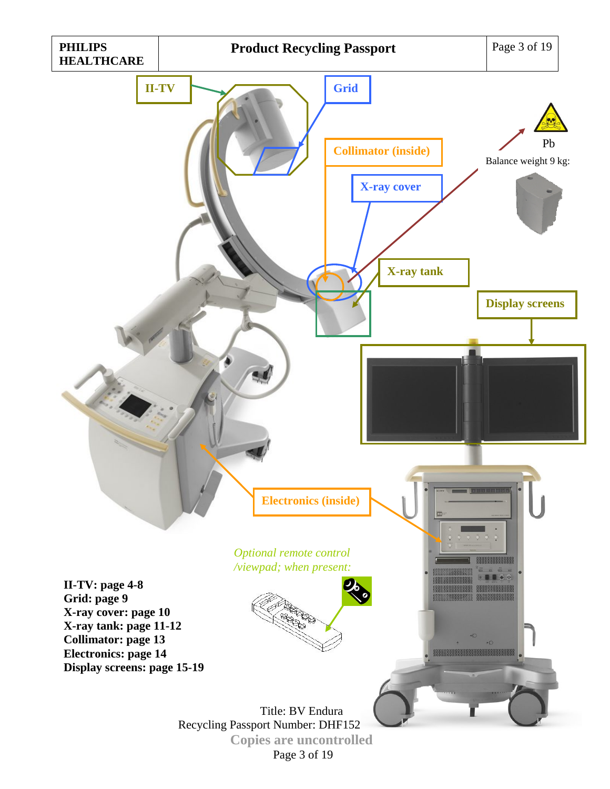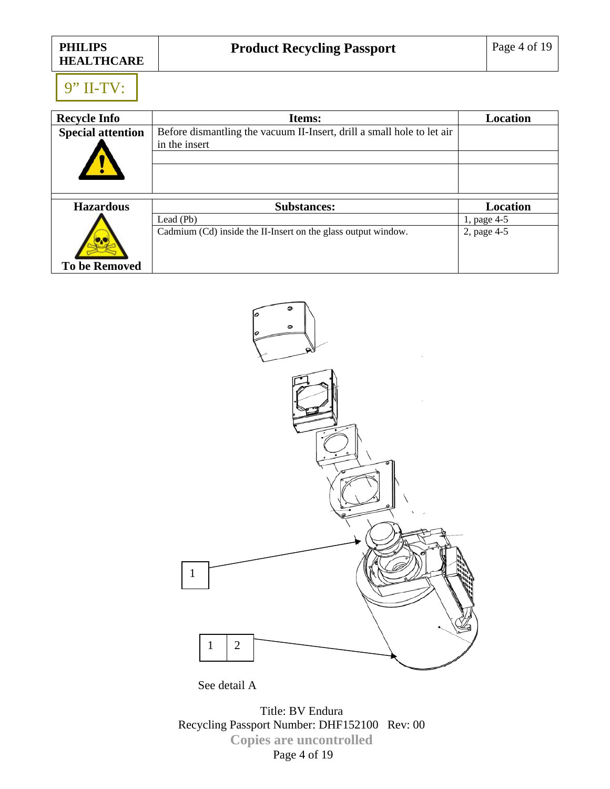| <b>PHILIPS</b>    |
|-------------------|
| <b>HEALTHCARE</b> |

# 9" II-TV:

| <b>Recycle Info</b>      | Items:                                                                 | <b>Location</b> |
|--------------------------|------------------------------------------------------------------------|-----------------|
| <b>Special attention</b> | Before dismantling the vacuum II-Insert, drill a small hole to let air |                 |
|                          | in the insert                                                          |                 |
|                          |                                                                        |                 |
| <b>Hazardous</b>         | <b>Substances:</b>                                                     | Location        |
|                          | Lead $(Pb)$                                                            | 1, page 4-5     |
|                          | Cadmium (Cd) inside the II-Insert on the glass output window.          | 2, page 4-5     |
| <b>To be Removed</b>     |                                                                        |                 |



See detail A

Title: BV Endura Recycling Passport Number: DHF152100 Rev: 00 **Copies are uncontrolled**  Page 4 of 19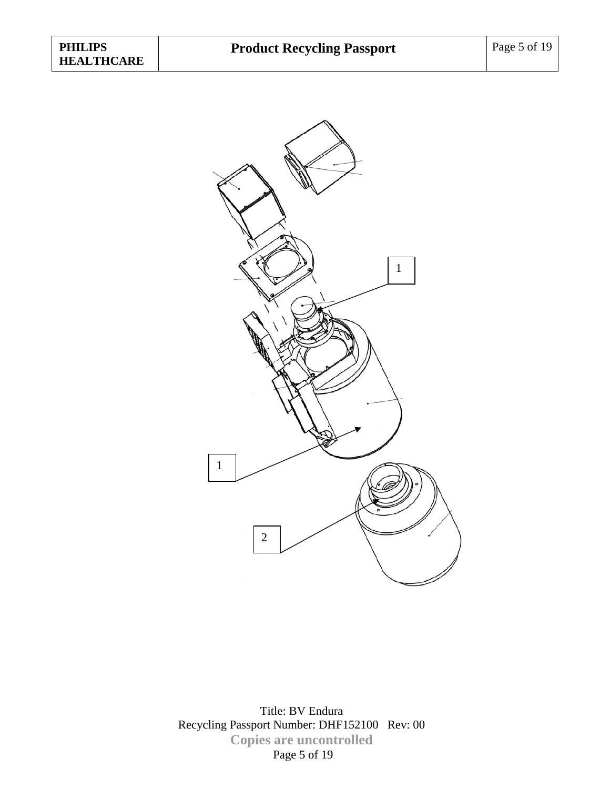

Title: BV Endura Recycling Passport Number: DHF152100 Rev: 00 **Copies are uncontrolled**  Page 5 of 19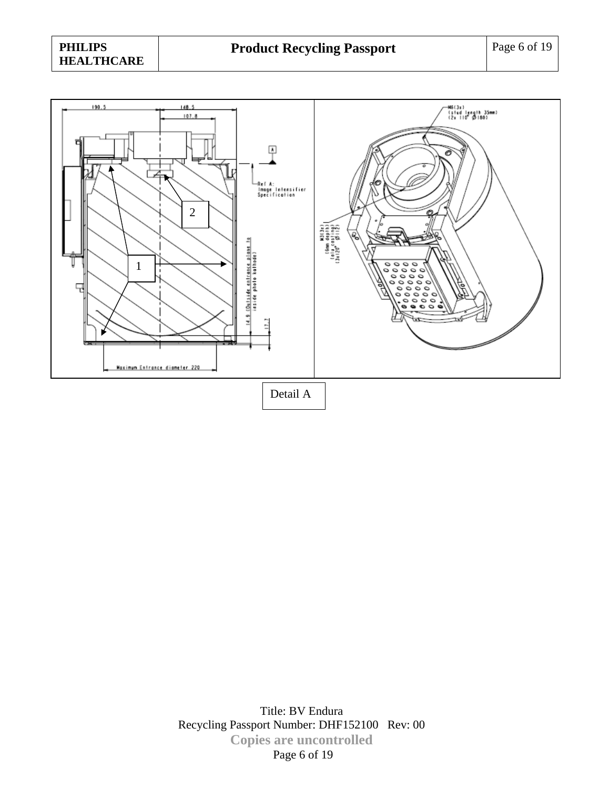

Title: BV Endura Recycling Passport Number: DHF152100 Rev: 00 **Copies are uncontrolled**  Page 6 of 19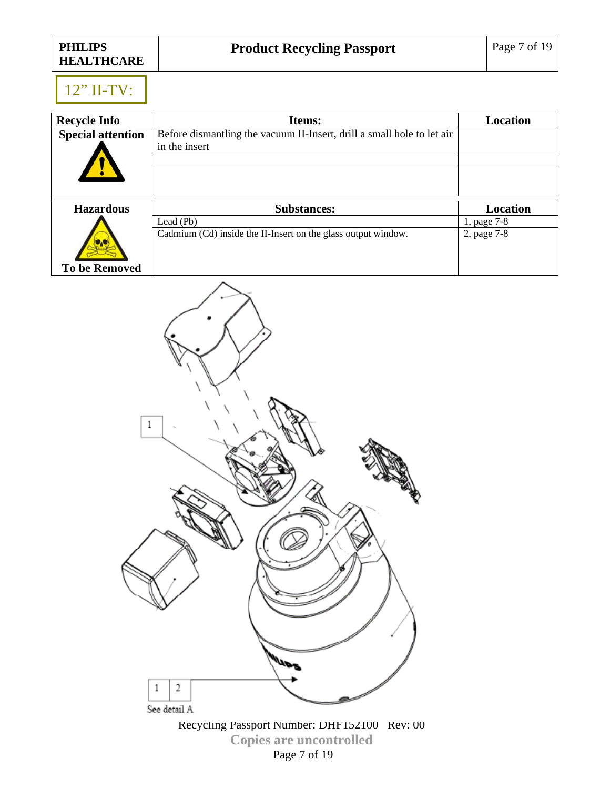### 12" II-TV:

| <b>Recycle Info</b>      | Items:                                                                 | Location        |
|--------------------------|------------------------------------------------------------------------|-----------------|
| <b>Special attention</b> | Before dismantling the vacuum II-Insert, drill a small hole to let air |                 |
|                          | in the insert                                                          |                 |
|                          |                                                                        |                 |
| <b>Hazardous</b>         | <b>Substances:</b>                                                     | <b>Location</b> |
|                          | Lead (Pb)                                                              | 1, page 7-8     |
|                          | Cadmium (Cd) inside the II-Insert on the glass output window.          | 2, page 7-8     |
| <b>To be Removed</b>     |                                                                        |                 |



Recycling Passport Number: DHF152100 Rev: 00 **Copies are uncontrolled**  Page 7 of 19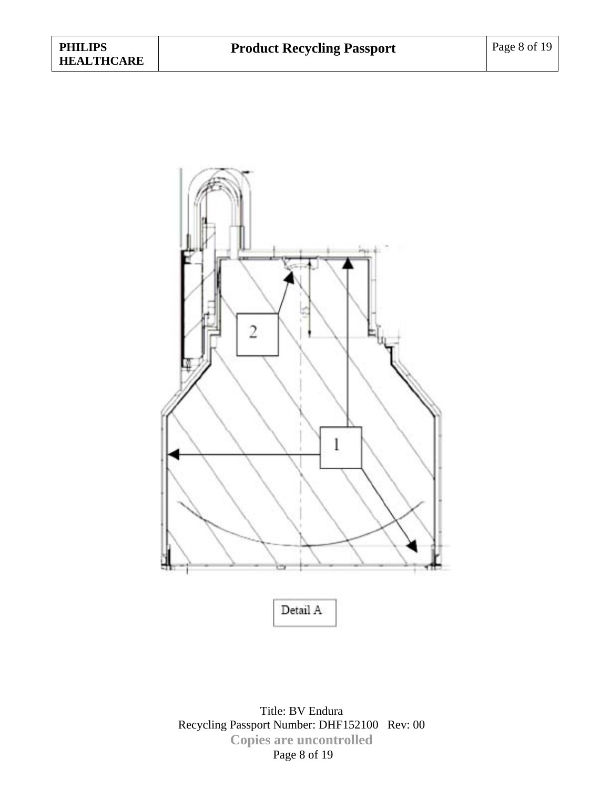

Title: BV Endura Recycling Passport Number: DHF152100 Rev: 00 **Copies are uncontrolled**  Page 8 of 19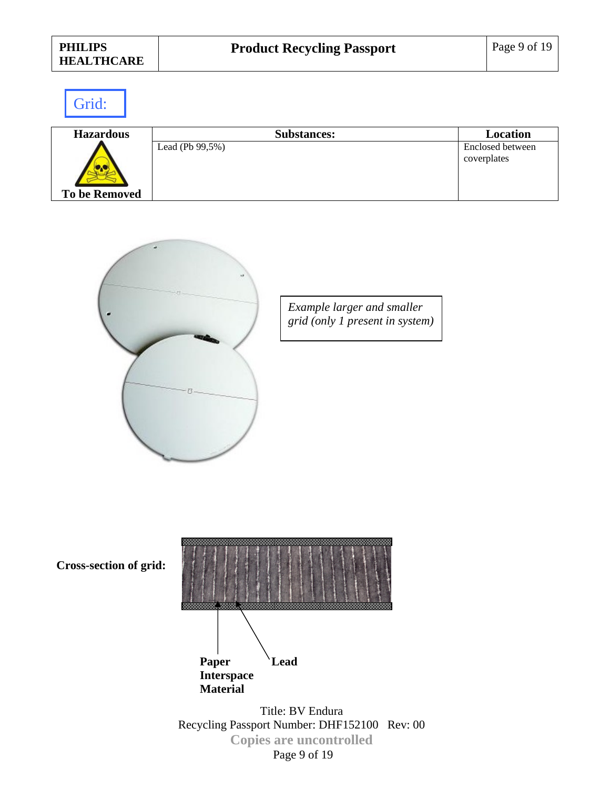| <b>PHILIPS</b><br><b>HEALTHCARE</b> | <b>Product Recycling Passport</b> | Page 9 of 19                    |
|-------------------------------------|-----------------------------------|---------------------------------|
| Grid:                               |                                   |                                 |
| <b>Hazardous</b>                    | <b>Substances:</b>                | <b>Location</b>                 |
| <b>To be Removed</b>                | Lead (Pb 99,5%)                   | Enclosed between<br>coverplates |



*Example larger and smaller grid (only 1 present in system)* 



Recycling Passport Number: DHF152100 Rev: 00 **Copies are uncontrolled**  Page 9 of 19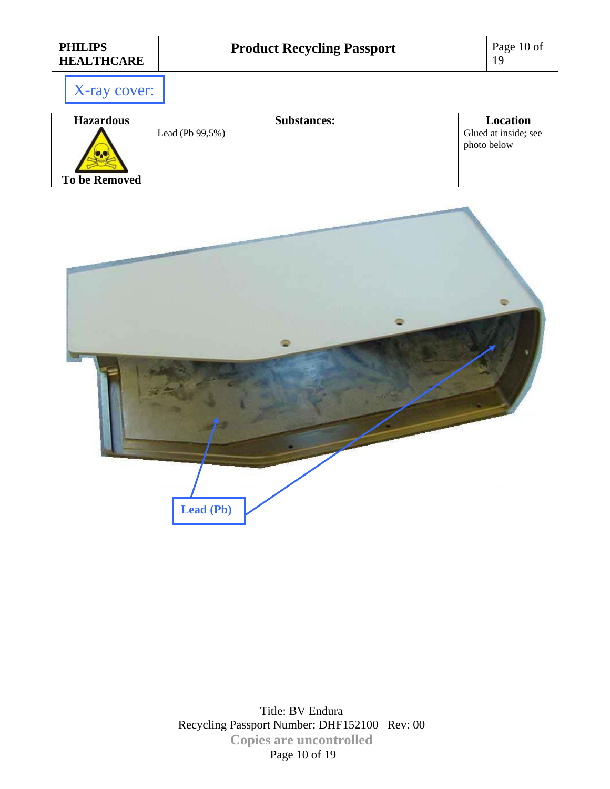X-ray cover:

| <b>Hazardous</b>     | <b>Substances:</b>  | Location             |
|----------------------|---------------------|----------------------|
|                      | Lead (Pb $99,5\%$ ) | Glued at inside; see |
|                      |                     | photo below          |
|                      |                     |                      |
|                      |                     |                      |
| <b>To be Removed</b> |                     |                      |

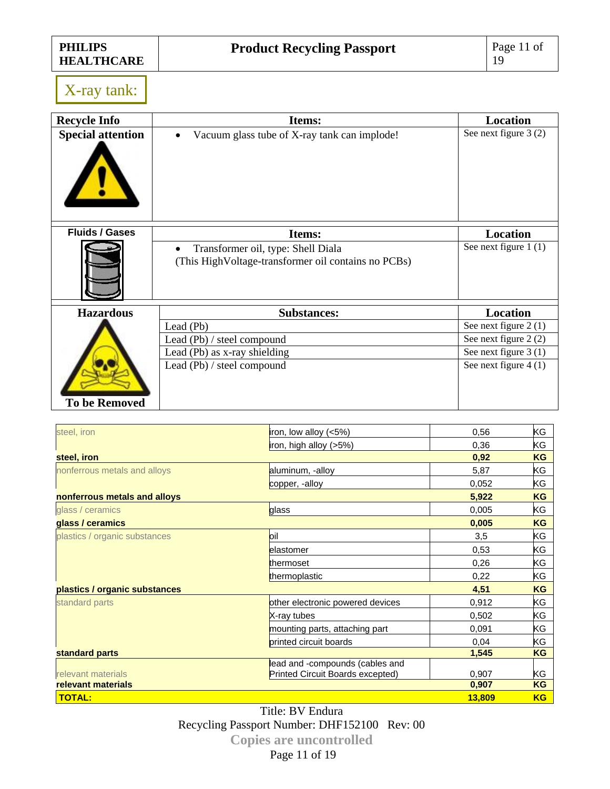X-ray tank:

| <b>Recycle Info</b>      | Items:                                                                                     | <b>Location</b>        |
|--------------------------|--------------------------------------------------------------------------------------------|------------------------|
| <b>Special attention</b> | Vacuum glass tube of X-ray tank can implode!                                               | See next figure 3 (2)  |
| <b>Fluids / Gases</b>    | Items:                                                                                     | <b>Location</b>        |
|                          | Transformer oil, type: Shell Diala<br>(This High Voltage-transformer oil contains no PCBs) | See next figure 1 (1)  |
| <b>Hazardous</b>         | <b>Substances:</b>                                                                         | <b>Location</b>        |
|                          | Lead (Pb)                                                                                  | See next figure 2 (1)  |
|                          | Lead (Pb) / steel compound                                                                 | See next figure 2 (2)  |
|                          | Lead (Pb) as x-ray shielding                                                               | See next figure 3 (1)  |
| <b>To be Removed</b>     | Lead (Pb) / steel compound                                                                 | See next figure $4(1)$ |
|                          |                                                                                            |                        |

| steel, iron                   | iron, low alloy $(<5%)$          | 0,56   | ΚG        |
|-------------------------------|----------------------------------|--------|-----------|
|                               | iron, high alloy $(>5%)$         | 0,36   | ΚG        |
| steel, iron                   |                                  | 0,92   | KG        |
| nonferrous metals and alloys  | aluminum, -alloy                 | 5,87   | ΚG        |
|                               | copper, -alloy                   | 0,052  | ΚG        |
| nonferrous metals and alloys  |                                  | 5,922  | <b>KG</b> |
| glass / ceramics              | glass                            | 0,005  | ΚG        |
| glass / ceramics              |                                  | 0,005  | <b>KG</b> |
| plastics / organic substances | loil                             | 3,5    | ΚG        |
|                               | elastomer                        | 0,53   | ΚG        |
|                               | thermoset                        | 0,26   | ΚG        |
|                               | thermoplastic                    | 0,22   | ΚG        |
| plastics / organic substances |                                  | 4,51   | KG        |
| standard parts                | other electronic powered devices | 0,912  | ΚG        |
|                               | X-ray tubes                      | 0,502  | ΚG        |
|                               | mounting parts, attaching part   | 0,091  | ΚG        |
|                               | printed circuit boards           | 0,04   | KG        |
| standard parts                |                                  | 1,545  | KG        |
|                               | lead and -compounds (cables and  |        |           |
| relevant materials            | Printed Circuit Boards excepted) | 0,907  | ΚG        |
| relevant materials            |                                  | 0,907  | KG        |
| <b>TOTAL:</b>                 |                                  | 13,809 | <b>KG</b> |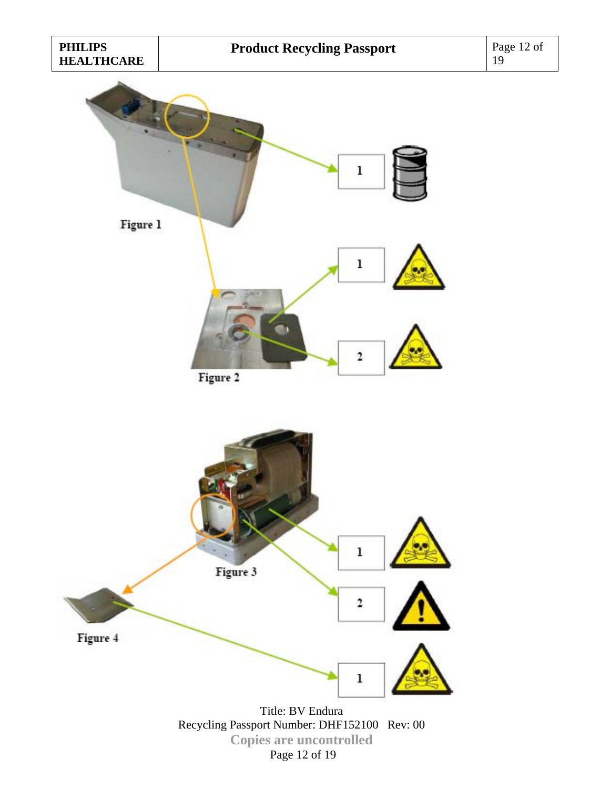

Page 12 of 19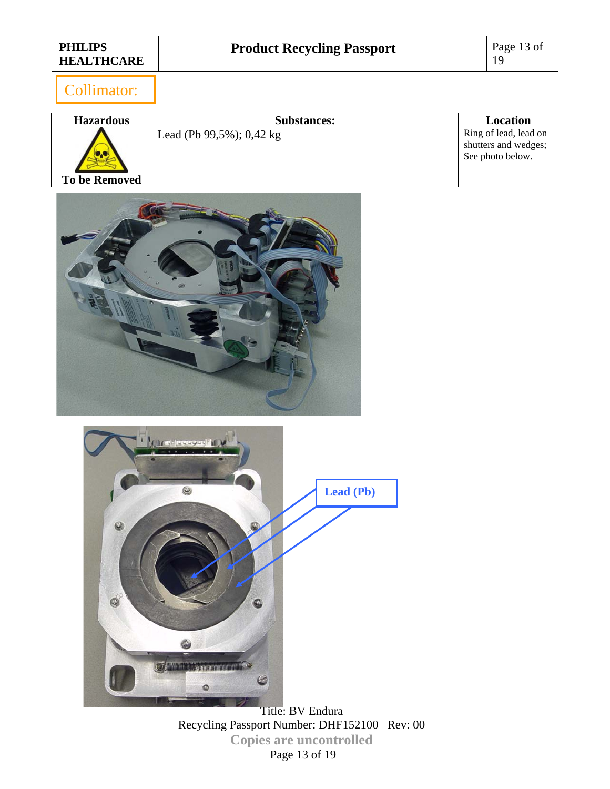### Collimator:

| <b>Hazardous</b>     | <b>Substances:</b>                 | Location                                                          |
|----------------------|------------------------------------|-------------------------------------------------------------------|
| <b>To be Removed</b> | Lead (Pb 99,5%); $0,42 \text{ kg}$ | Ring of lead, lead on<br>shutters and wedges;<br>See photo below. |





Title: BV Endura Recycling Passport Number: DHF152100 Rev: 00 **Copies are uncontrolled**  Page 13 of 19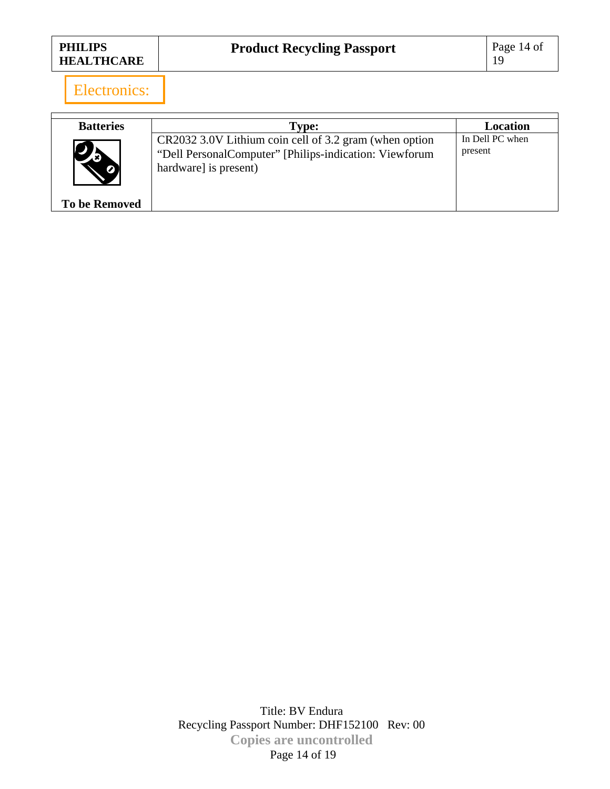| <b>PHILIPS</b><br><b>HEALTHCARE</b> | <b>Product Recycling Passport</b> | Page 14 of |
|-------------------------------------|-----------------------------------|------------|
|-------------------------------------|-----------------------------------|------------|

Electronics:

| <b>Batteries</b>     | <b>Type:</b>                                                                                                                              | Location                   |
|----------------------|-------------------------------------------------------------------------------------------------------------------------------------------|----------------------------|
|                      | CR2032 3.0V Lithium coin cell of 3.2 gram (when option<br>"Dell PersonalComputer" [Philips-indication: Viewforum<br>hardware] is present) | In Dell PC when<br>present |
| <b>To be Removed</b> |                                                                                                                                           |                            |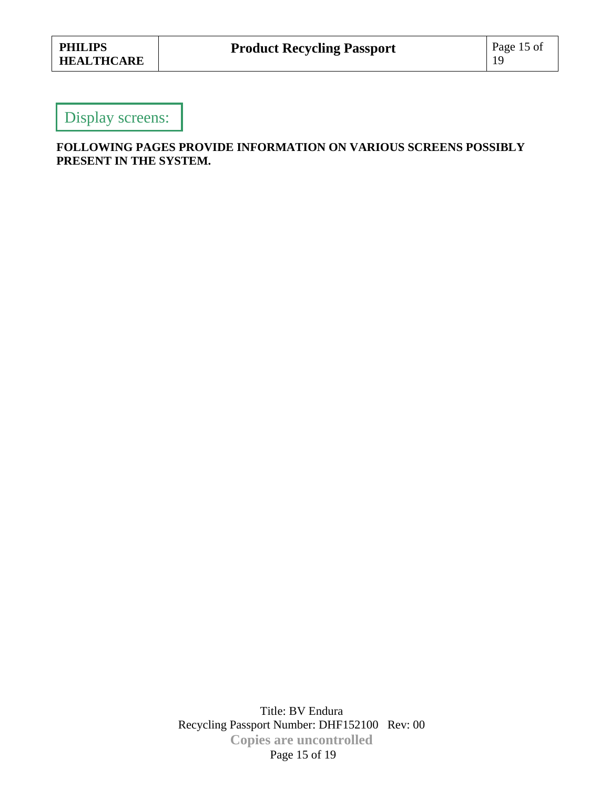### Display screens:

#### **FOLLOWING PAGES PROVIDE INFORMATION ON VARIOUS SCREENS POSSIBLY PRESENT IN THE SYSTEM.**

Title: BV Endura Recycling Passport Number: DHF152100 Rev: 00 **Copies are uncontrolled**  Page 15 of 19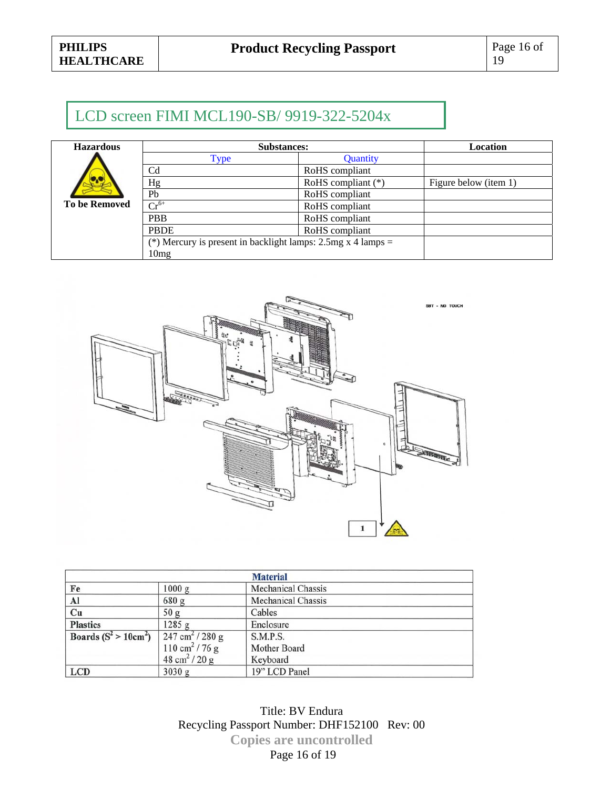### LCD screen FIMI MCL190-SB/ 9919-322-5204x

| <b>Hazardous</b>     | <b>Substances:</b>                                                  |                      | Location              |
|----------------------|---------------------------------------------------------------------|----------------------|-----------------------|
|                      | Type                                                                | <b>Ouantity</b>      |                       |
|                      | C <sub>d</sub>                                                      | RoHS compliant       |                       |
|                      | Hg                                                                  | RoHS compliant $(*)$ | Figure below (item 1) |
|                      | Pb                                                                  | RoHS compliant       |                       |
| <b>To be Removed</b> | $\overline{\text{Cr}^{6+}}$                                         | RoHS compliant       |                       |
|                      | <b>PBB</b>                                                          | RoHS compliant       |                       |
|                      | <b>PBDE</b>                                                         | RoHS compliant       |                       |
|                      | (*) Mercury is present in backlight lamps: $2.5mg \times 4$ lamps = |                      |                       |
|                      | 10 <sub>mg</sub>                                                    |                      |                       |



| <b>Material</b>               |                                    |                           |
|-------------------------------|------------------------------------|---------------------------|
| Fe                            | 1000 g                             | <b>Mechanical Chassis</b> |
| $\frac{\text{Al}}{\text{Cu}}$ | 680 g                              | <b>Mechanical Chassis</b> |
|                               | 50 <sub>g</sub>                    | Cables                    |
| <b>Plastics</b>               | 1285 g                             | Enclosure                 |
| Boards $(S^2 > 10cm^2)$       | $247 \text{ cm}^2 / 280 \text{ g}$ | S.M.P.S.                  |
|                               | $110 \text{ cm}^2 / 76 \text{ g}$  | Mother Board              |
|                               | 48 cm <sup>2</sup> / 20 g          | Keyboard                  |
| <b>LCD</b>                    | 3030 g                             | 19" LCD Panel             |

Title: BV Endura Recycling Passport Number: DHF152100 Rev: 00 **Copies are uncontrolled**  Page 16 of 19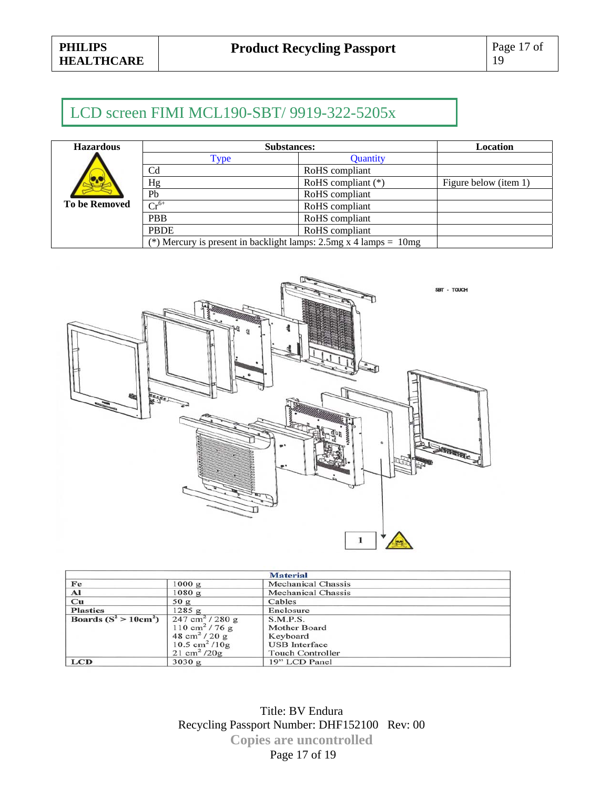# LCD screen FIMI MCL190-SBT/ 9919-322-5205x

| <b>Hazardous</b>     | <b>Substances:</b>                                                         |                      | <b>Location</b>       |
|----------------------|----------------------------------------------------------------------------|----------------------|-----------------------|
|                      | Type                                                                       | Quantity             |                       |
|                      | Cd                                                                         | RoHS compliant       |                       |
|                      | Hg                                                                         | RoHS compliant $(*)$ | Figure below (item 1) |
|                      | Pb                                                                         | RoHS compliant       |                       |
| <b>To be Removed</b> | $Cr^{6+}$                                                                  | RoHS compliant       |                       |
|                      | <b>PBB</b>                                                                 | RoHS compliant       |                       |
|                      | <b>PBDE</b>                                                                | RoHS compliant       |                       |
|                      | (*) Mercury is present in backlight lamps: $2.5mg \times 4$ lamps = $10mg$ |                      |                       |



| <b>Material</b>         |                                    |                           |  |
|-------------------------|------------------------------------|---------------------------|--|
| Fe                      | 1000 g                             | <b>Mechanical Chassis</b> |  |
| ${\bf Al}$              | 1080 g                             | <b>Mechanical Chassis</b> |  |
| $\mathbf{C}\mathbf{u}$  | 50 g                               | Cables                    |  |
| <b>Plastics</b>         | $1285$ g                           | Enclosure                 |  |
| Boards $(S^2 > 10cm^2)$ | $247 \text{ cm}^2 / 280 \text{ g}$ | <b>S.M.P.S.</b>           |  |
|                         | $110 \text{ cm}^2 / 76 \text{ g}$  | <b>Mother Board</b>       |  |
|                         | $48 \text{ cm}^2 / 20 \text{ g}$   | Keyboard                  |  |
|                         | $10.5 \text{ cm}^2 / 10 \text{ g}$ | <b>USB</b> Interface      |  |
|                         | $21 \text{ cm}^2 / 20 \text{ g}$   | <b>Touch Controller</b>   |  |
| <b>LCD</b>              | 3030 g                             | 19" LCD Panel             |  |

Title: BV Endura Recycling Passport Number: DHF152100 Rev: 00 **Copies are uncontrolled**  Page 17 of 19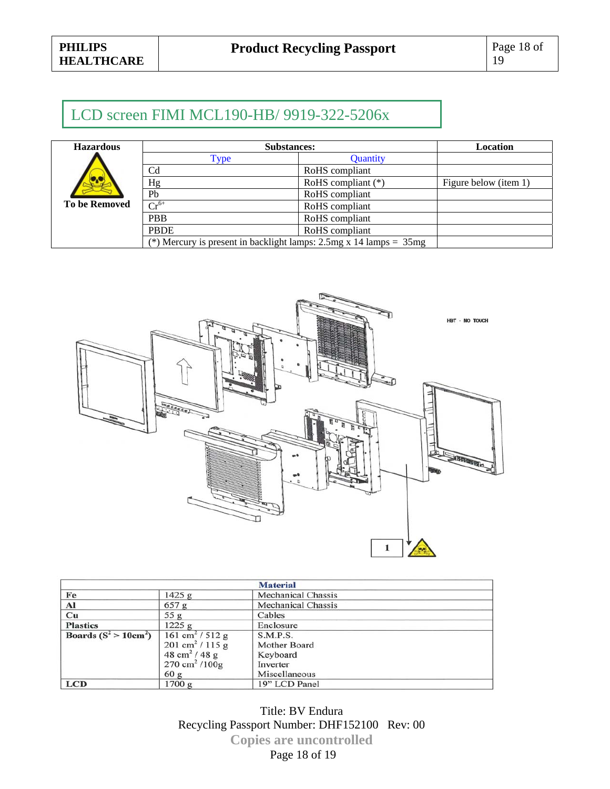# LCD screen FIMI MCL190-HB/ 9919-322-5206x

| <b>Hazardous</b>     | <b>Substances:</b>                                                          |                      | <b>Location</b>       |
|----------------------|-----------------------------------------------------------------------------|----------------------|-----------------------|
|                      | Type                                                                        | <b>Quantity</b>      |                       |
|                      | C <sub>d</sub>                                                              | RoHS compliant       |                       |
|                      | Hg                                                                          | RoHS compliant $(*)$ | Figure below (item 1) |
|                      | Pb                                                                          | RoHS compliant       |                       |
| <b>To be Removed</b> | $Cr^{6+}$                                                                   | RoHS compliant       |                       |
|                      | <b>PBB</b>                                                                  | RoHS compliant       |                       |
|                      | <b>PBDE</b>                                                                 | RoHS compliant       |                       |
|                      | (*) Mercury is present in backlight lamps: $2.5mg \times 14$ lamps = $35mg$ |                      |                       |



| <b>Material</b>         |                                    |                           |
|-------------------------|------------------------------------|---------------------------|
| Fe                      | 1425 g                             | <b>Mechanical Chassis</b> |
| Al                      | 657 g                              | <b>Mechanical Chassis</b> |
| Cu                      | 55 g                               | Cables                    |
| <b>Plastics</b>         | 1225 g                             | Enclosure                 |
| Boards $(S^2 > 10cm^2)$ | $161 \text{ cm}^2 / 512 \text{ g}$ | S.M.P.S.                  |
|                         | 201 cm <sup>2</sup> / 115 g        | Mother Board              |
|                         | 48 cm <sup>2</sup> / 48 g          | Keyboard                  |
|                         | $270 \text{ cm}^2 / 100 \text{g}$  | Inverter                  |
|                         | 60 g                               | Miscellaneous             |
| <b>LCD</b>              | 1700 g                             | 19" LCD Panel             |

Title: BV Endura Recycling Passport Number: DHF152100 Rev: 00 **Copies are uncontrolled**  Page 18 of 19